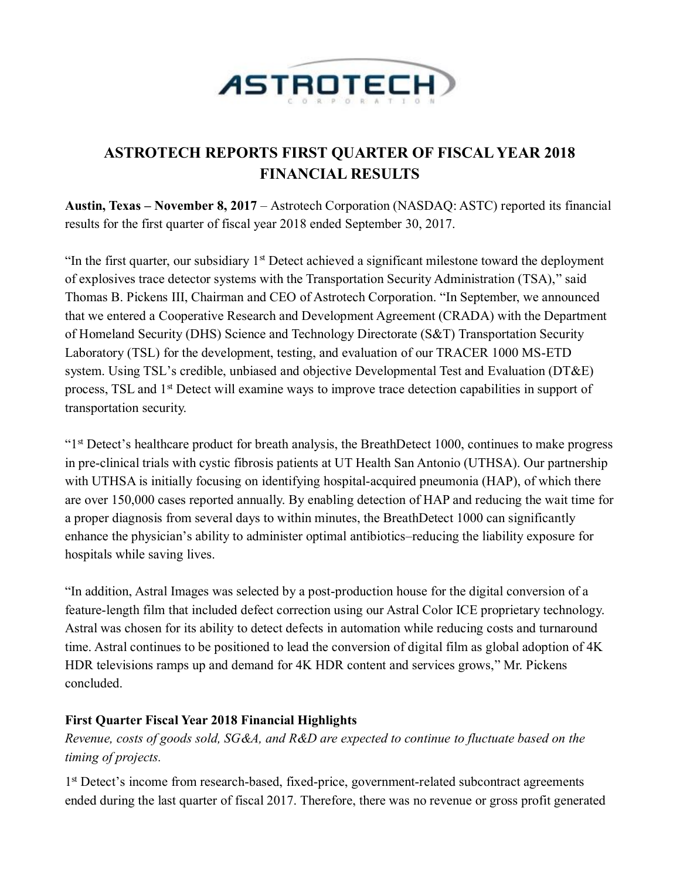

# **ASTROTECH REPORTS FIRST QUARTER OF FISCAL YEAR 2018 FINANCIAL RESULTS**

**Austin, Texas – November 8, 2017** – Astrotech Corporation (NASDAQ: ASTC) reported its financial results for the first quarter of fiscal year 2018 ended September 30, 2017.

"In the first quarter, our subsidiary  $1<sup>st</sup>$  Detect achieved a significant milestone toward the deployment of explosives trace detector systems with the Transportation Security Administration (TSA)," said Thomas B. Pickens III, Chairman and CEO of Astrotech Corporation. "In September, we announced that we entered a Cooperative Research and Development Agreement (CRADA) with the Department of Homeland Security (DHS) Science and Technology Directorate (S&T) Transportation Security Laboratory (TSL) for the development, testing, and evaluation of our TRACER 1000 MS-ETD system. Using TSL's credible, unbiased and objective Developmental Test and Evaluation (DT&E) process, TSL and 1<sup>st</sup> Detect will examine ways to improve trace detection capabilities in support of transportation security.

"<sup>1st</sup> Detect's healthcare product for breath analysis, the BreathDetect 1000, continues to make progress in pre-clinical trials with cystic fibrosis patients at UT Health San Antonio (UTHSA). Our partnership with UTHSA is initially focusing on identifying hospital-acquired pneumonia (HAP), of which there are over 150,000 cases reported annually. By enabling detection of HAP and reducing the wait time for a proper diagnosis from several days to within minutes, the BreathDetect 1000 can significantly enhance the physician's ability to administer optimal antibiotics–reducing the liability exposure for hospitals while saving lives.

"In addition, Astral Images was selected by a post-production house for the digital conversion of a feature-length film that included defect correction using our Astral Color ICE proprietary technology. Astral was chosen for its ability to detect defects in automation while reducing costs and turnaround time. Astral continues to be positioned to lead the conversion of digital film as global adoption of 4K HDR televisions ramps up and demand for 4K HDR content and services grows," Mr. Pickens concluded.

# **First Quarter Fiscal Year 2018 Financial Highlights**

*Revenue, costs of goods sold, SG&A, and R&D are expected to continue to fluctuate based on the timing of projects.*

1<sup>st</sup> Detect's income from research-based, fixed-price, government-related subcontract agreements ended during the last quarter of fiscal 2017. Therefore, there was no revenue or gross profit generated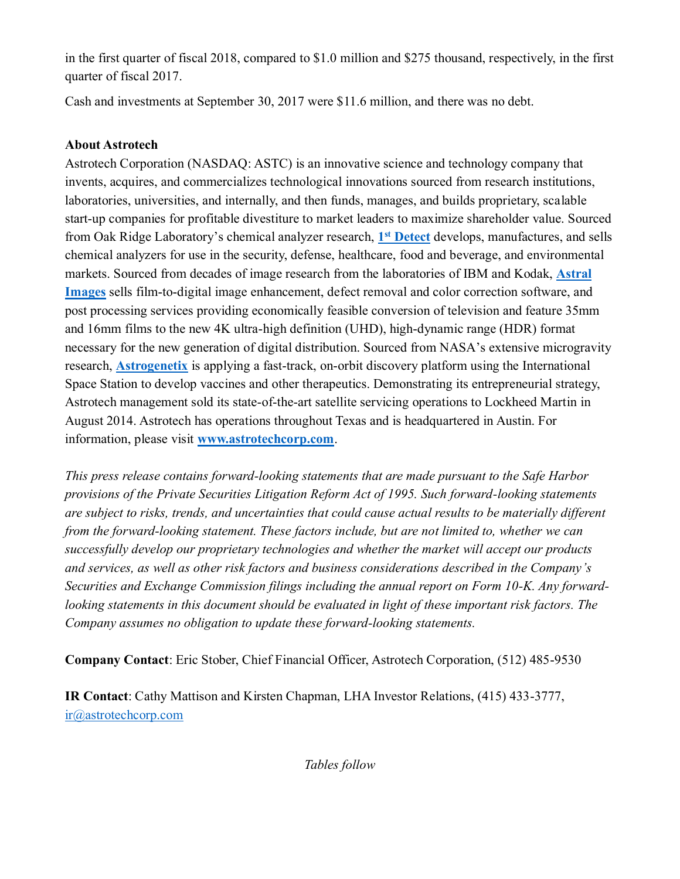in the first quarter of fiscal 2018, compared to \$1.0 million and \$275 thousand, respectively, in the first quarter of fiscal 2017.

Cash and investments at September 30, 2017 were \$11.6 million, and there was no debt.

## **About Astrotech**

Astrotech Corporation (NASDAQ: ASTC) is an innovative science and technology company that invents, acquires, and commercializes technological innovations sourced from research institutions, laboratories, universities, and internally, and then funds, manages, and builds proprietary, scalable start-up companies for profitable divestiture to market leaders to maximize shareholder value. Sourced from Oak Ridge Laboratory's chemical analyzer research, **1 st [Detect](http://www.1stdetect.com/?utm_campaign=2017-pr&utm_source=astc&utm_medium=businesswire&utm_content=20171108-q1fy18-1d-boiler)** develops, manufactures, and sells chemical analyzers for use in the security, defense, healthcare, food and beverage, and environmental markets. Sourced from decades of image research from the laboratories of IBM and Kodak, **[Astral](http://www.astral-images.com/?utm_campaign=2017-pr&utm_source=astc&utm_medium=businesswire&utm_content=20171108-q1fy18-astral-boiler)  [Images](http://www.astral-images.com/?utm_campaign=2017-pr&utm_source=astc&utm_medium=businesswire&utm_content=20171108-q1fy18-astral-boiler)** sells film-to-digital image enhancement, defect removal and color correction software, and post processing services providing economically feasible conversion of television and feature 35mm and 16mm films to the new 4K ultra-high definition (UHD), high-dynamic range (HDR) format necessary for the new generation of digital distribution. Sourced from NASA's extensive microgravity research, **[Astrogenetix](http://www.astrogenetix.com/?utm_campaign=2017-pr&utm_source=astc&utm_medium=businesswire&utm_content=20171108-q1fy18-astrogenetix-boiler)** is applying a fast-track, on-orbit discovery platform using the International Space Station to develop vaccines and other therapeutics. Demonstrating its entrepreneurial strategy, Astrotech management sold its state-of-the-art satellite servicing operations to Lockheed Martin in August 2014. Astrotech has operations throughout Texas and is headquartered in Austin. For information, please visit **[www.astrotechcorp.com](http://www.astrotechcorp.com/?utm_campaign=2017-pr&utm_source=astc&utm_medium=businesswire&utm_content=20171108-q1fy18-astc-boiler)**.

*This press release contains forward-looking statements that are made pursuant to the Safe Harbor provisions of the Private Securities Litigation Reform Act of 1995. Such forward-looking statements are subject to risks, trends, and uncertainties that could cause actual results to be materially different from the forward-looking statement. These factors include, but are not limited to, whether we can successfully develop our proprietary technologies and whether the market will accept our products and services, as well as other risk factors and business considerations described in the Company's Securities and Exchange Commission filings including the annual report on Form 10-K. Any forwardlooking statements in this document should be evaluated in light of these important risk factors. The Company assumes no obligation to update these forward-looking statements.*

**Company Contact**: Eric Stober, Chief Financial Officer, Astrotech Corporation, (512) 485-9530

**IR Contact**: Cathy Mattison and Kirsten Chapman, LHA Investor Relations, (415) 433-3777, [ir@astrotechcorp.com](mailto:ir@astrotechcorp.com)

*Tables follow*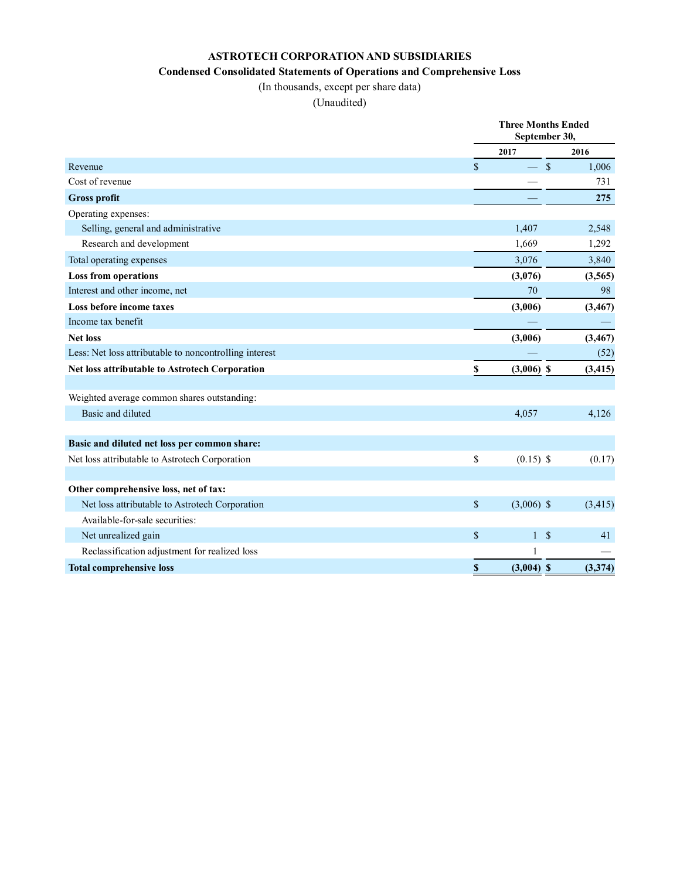## **ASTROTECH CORPORATION AND SUBSIDIARIES**

#### **Condensed Consolidated Statements of Operations and Comprehensive Loss**

(In thousands, except per share data)

(Unaudited)

|                                                        |             | <b>Three Months Ended</b><br>September 30, |          |  |
|--------------------------------------------------------|-------------|--------------------------------------------|----------|--|
|                                                        |             | 2017                                       | 2016     |  |
| Revenue                                                | $\mathbf S$ | $\sqrt{\ }$<br>$\overline{\phantom{0}}$    | 1,006    |  |
| Cost of revenue                                        |             |                                            | 731      |  |
| <b>Gross profit</b>                                    |             |                                            | 275      |  |
| Operating expenses:                                    |             |                                            |          |  |
| Selling, general and administrative                    |             | 1,407                                      | 2,548    |  |
| Research and development                               |             | 1,669                                      | 1,292    |  |
| Total operating expenses                               |             | 3,076                                      | 3,840    |  |
| <b>Loss from operations</b>                            |             | (3,076)                                    | (3, 565) |  |
| Interest and other income, net                         |             | 70                                         | 98       |  |
| Loss before income taxes                               |             | (3,006)                                    | (3, 467) |  |
| Income tax benefit                                     |             |                                            |          |  |
| <b>Net loss</b>                                        |             | (3,006)                                    | (3, 467) |  |
| Less: Net loss attributable to noncontrolling interest |             |                                            | (52)     |  |
| Net loss attributable to Astrotech Corporation         | $\mathbb S$ | $(3,006)$ \$                               | (3, 415) |  |
|                                                        |             |                                            |          |  |
| Weighted average common shares outstanding:            |             |                                            |          |  |
| Basic and diluted                                      |             | 4,057                                      | 4,126    |  |
| Basic and diluted net loss per common share:           |             |                                            |          |  |
| Net loss attributable to Astrotech Corporation         | \$          | $(0.15)$ \$                                | (0.17)   |  |
|                                                        |             |                                            |          |  |
| Other comprehensive loss, net of tax:                  |             |                                            |          |  |
| Net loss attributable to Astrotech Corporation         | \$          | $(3,006)$ \$                               | (3, 415) |  |
| Available-for-sale securities:                         |             |                                            |          |  |
| Net unrealized gain                                    | \$          | $\boldsymbol{\mathsf{S}}$<br>1             | 41       |  |
| Reclassification adjustment for realized loss          |             | 1                                          |          |  |
| <b>Total comprehensive loss</b>                        | \$          | $(3,004)$ \$                               | (3,374)  |  |